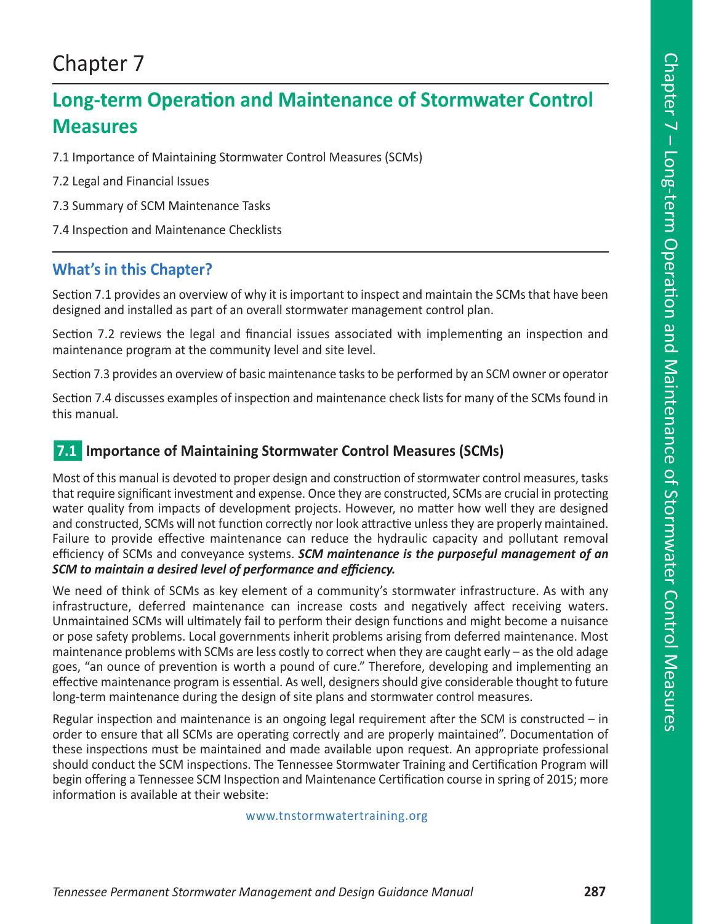# Chapter 7

# **Long-term Operation and Maintenance of Stormwater Control Measures**

7.1 Importance of Maintaining Stormwater Control Measures (SCMs)

- 7.2 Legal and Financial Issues
- 7.3 Summary of SCM Maintenance Tasks
- 7.4 Inspection and Maintenance Checklists

## **What's in this Chapter?**

Section 7.1 provides an overview of why it is important to inspect and maintain the SCMs that have been designed and installed as part of an overall stormwater management control plan.

Section 7.2 reviews the legal and financial issues associated with implementing an inspection and maintenance program at the community level and site level.

Section 7.3 provides an overview of basic maintenance tasks to be performed by an SCM owner or operator

Section 7.4 discusses examples of inspection and maintenance check lists for many of the SCMs found in this manual.

#### **7.1 Importance of Maintaining Stormwater Control Measures (SCMs)**

Most of this manual is devoted to proper design and construction of stormwater control measures, tasks that require significant investment and expense. Once they are constructed, SCMs are crucial in protecting water quality from impacts of development projects. However, no matter how well they are designed and constructed, SCMs will not function correctly nor look attractive unless they are properly maintained. Failure to provide effective maintenance can reduce the hydraulic capacity and pollutant removal efficiency of SCMs and conveyance systems. *SCM maintenance is the purposeful management of an SCM to maintain a desired level of performance and efficiency.* 

We need of think of SCMs as key element of a community's stormwater infrastructure. As with any infrastructure, deferred maintenance can increase costs and negatively affect receiving waters. Unmaintained SCMs will ultimately fail to perform their design functions and might become a nuisance or pose safety problems. Local governments inherit problems arising from deferred maintenance. Most maintenance problems with SCMs are less costly to correct when they are caught early – as the old adage goes, "an ounce of prevention is worth a pound of cure." Therefore, developing and implementing an effective maintenance program is essential. As well, designers should give considerable thought to future long-term maintenance during the design of site plans and stormwater control measures.

Regular inspection and maintenance is an ongoing legal requirement after the SCM is constructed – in order to ensure that all SCMs are operating correctly and are properly maintained". Documentation of these inspections must be maintained and made available upon request. An appropriate professional should conduct the SCM inspections. The Tennessee Stormwater Training and Certification Program will begin offering a Tennessee SCM Inspection and Maintenance Certification course in spring of 2015; more information is available at their website:

#### www.tnstormwatertraining.org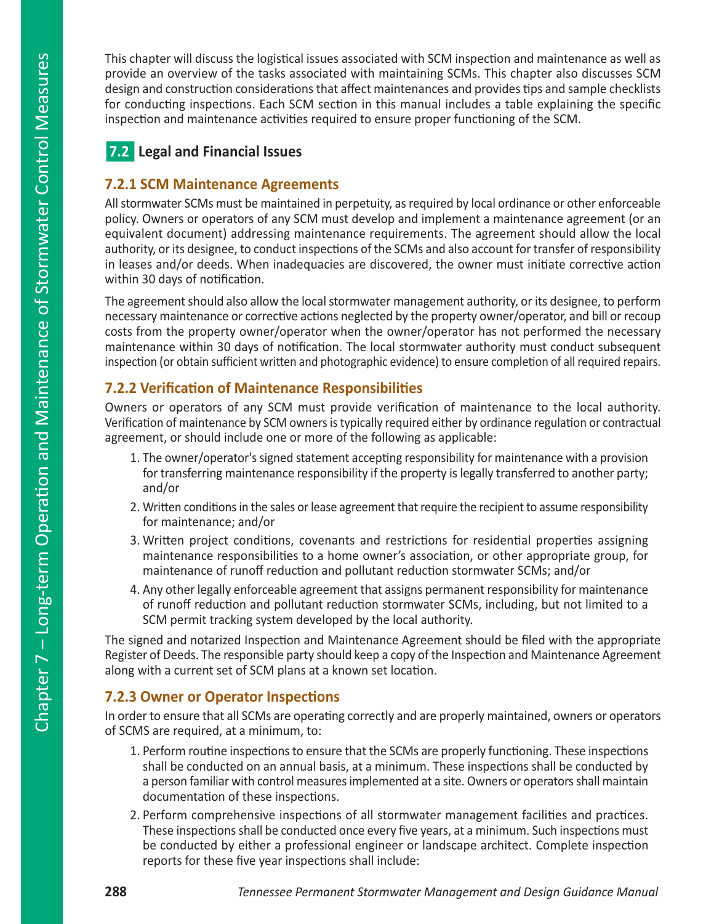This chapter will discuss the logistical issues associated with SCM inspection and maintenance as well as provide an overview of the tasks associated with maintaining SCMs. This chapter also discusses SCM design and construction considerations that affect maintenances and provides tips and sample checklists for conducting inspections. Each SCM section in this manual includes a table explaining the specific inspection and maintenance activities required to ensure proper functioning of the SCM.

# **7.2 Legal and Financial Issues**

### **7.2.1 SCM Maintenance Agreements**

All stormwater SCMs must be maintained in perpetuity, as required by local ordinance or other enforceable policy. Owners or operators of any SCM must develop and implement a maintenance agreement (or an equivalent document) addressing maintenance requirements. The agreement should allow the local authority, or its designee, to conduct inspections of the SCMs and also account for transfer of responsibility in leases and/or deeds. When inadequacies are discovered, the owner must initiate corrective action within 30 days of notification.

The agreement should also allow the local stormwater management authority, or its designee, to perform necessary maintenance or corrective actions neglected by the property owner/operator, and bill or recoup costs from the property owner/operator when the owner/operator has not performed the necessary maintenance within 30 days of notification. The local stormwater authority must conduct subsequent inspection (or obtain sufficient written and photographic evidence) to ensure completion of all required repairs.

## **7.2.2 Verification of Maintenance Responsibilities**

Owners or operators of any SCM must provide verification of maintenance to the local authority. Verification of maintenance by SCM owners is typically required either by ordinance regulation or contractual agreement, or should include one or more of the following as applicable:

- 1. The owner/operator's signed statement accepting responsibility for maintenance with a provision for transferring maintenance responsibility if the property is legally transferred to another party; and/or
- 2. Written conditions in the sales or lease agreement that require the recipient to assume responsibility for maintenance; and/or
- 3. Written project conditions, covenants and restrictions for residential properties assigning maintenance responsibilities to a home owner's association, or other appropriate group, for maintenance of runoff reduction and pollutant reduction stormwater SCMs; and/or
- 4. Any other legally enforceable agreement that assigns permanent responsibility for maintenance of runoff reduction and pollutant reduction stormwater SCMs, including, but not limited to a SCM permit tracking system developed by the local authority.

The signed and notarized Inspection and Maintenance Agreement should be filed with the appropriate Register of Deeds. The responsible party should keep a copy of the Inspection and Maintenance Agreement along with a current set of SCM plans at a known set location.

### **7.2.3 Owner or Operator Inspections**

In order to ensure that all SCMs are operating correctly and are properly maintained, owners or operators of SCMS are required, at a minimum, to:

- 1. Perform routine inspections to ensure that the SCMs are properly functioning. These inspections shall be conducted on an annual basis, at a minimum. These inspections shall be conducted by a person familiar with control measures implemented at a site. Owners or operators shall maintain documentation of these inspections.
- 2. Perform comprehensive inspections of all stormwater management facilities and practices. These inspections shall be conducted once every five years, at a minimum. Such inspections must be conducted by either a professional engineer or landscape architect. Complete inspection reports for these five year inspections shall include: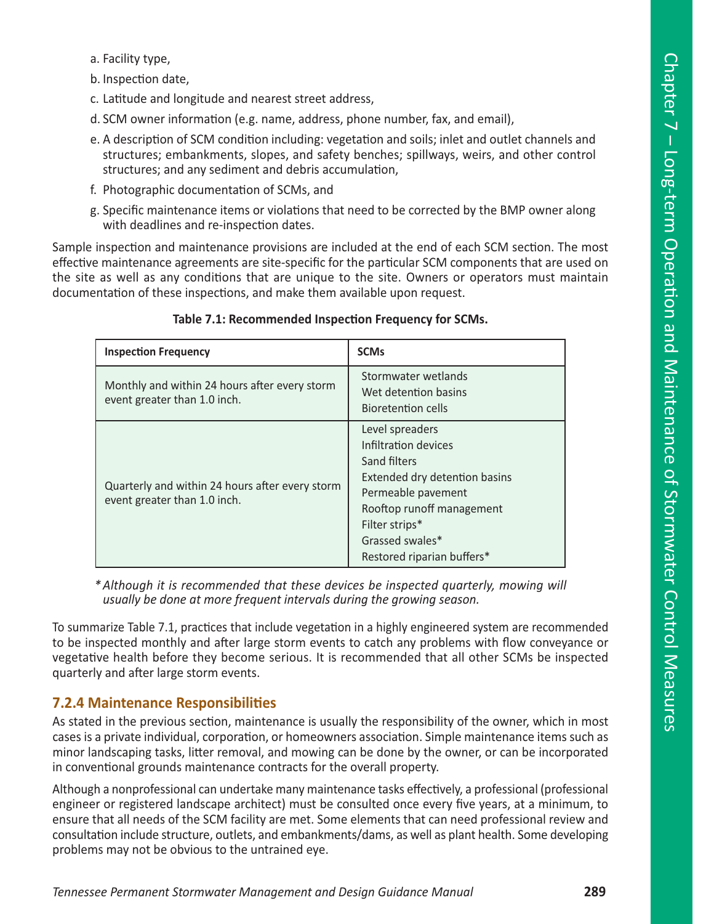- a. Facility type,
- b. Inspection date,
- c. Latitude and longitude and nearest street address,
- d. SCM owner information (e.g. name, address, phone number, fax, and email),
- e. A description of SCM condition including: vegetation and soils; inlet and outlet channels and structures; embankments, slopes, and safety benches; spillways, weirs, and other control structures; and any sediment and debris accumulation,
- f. Photographic documentation of SCMs, and
- g. Specific maintenance items or violations that need to be corrected by the BMP owner along with deadlines and re-inspection dates.

Sample inspection and maintenance provisions are included at the end of each SCM section. The most effective maintenance agreements are site-specific for the particular SCM components that are used on the site as well as any conditions that are unique to the site. Owners or operators must maintain documentation of these inspections, and make them available upon request.

| <b>Inspection Frequency</b>                                                     | <b>SCMs</b>                                                                                                                                                                                                    |
|---------------------------------------------------------------------------------|----------------------------------------------------------------------------------------------------------------------------------------------------------------------------------------------------------------|
| Monthly and within 24 hours after every storm<br>event greater than 1.0 inch.   | Stormwater wetlands<br>Wet detention basins<br>Bioretention cells                                                                                                                                              |
| Quarterly and within 24 hours after every storm<br>event greater than 1.0 inch. | Level spreaders<br>Infiltration devices<br>Sand filters<br>Extended dry detention basins<br>Permeable pavement<br>Rooftop runoff management<br>Filter strips*<br>Grassed swales*<br>Restored riparian buffers* |

#### **Table 7.1: Recommended Inspection Frequency for SCMs.**

*\* Although it is recommended that these devices be inspected quarterly, mowing will usually be done at more frequent intervals during the growing season.*

To summarize Table 7.1, practices that include vegetation in a highly engineered system are recommended to be inspected monthly and after large storm events to catch any problems with flow conveyance or vegetative health before they become serious. It is recommended that all other SCMs be inspected quarterly and after large storm events.

#### **7.2.4 Maintenance Responsibilities**

As stated in the previous section, maintenance is usually the responsibility of the owner, which in most cases is a private individual, corporation, or homeowners association. Simple maintenance items such as minor landscaping tasks, litter removal, and mowing can be done by the owner, or can be incorporated in conventional grounds maintenance contracts for the overall property.

Although a nonprofessional can undertake many maintenance tasks effectively, a professional (professional engineer or registered landscape architect) must be consulted once every five years, at a minimum, to ensure that all needs of the SCM facility are met. Some elements that can need professional review and consultation include structure, outlets, and embankments/dams, as well as plant health. Some developing problems may not be obvious to the untrained eye.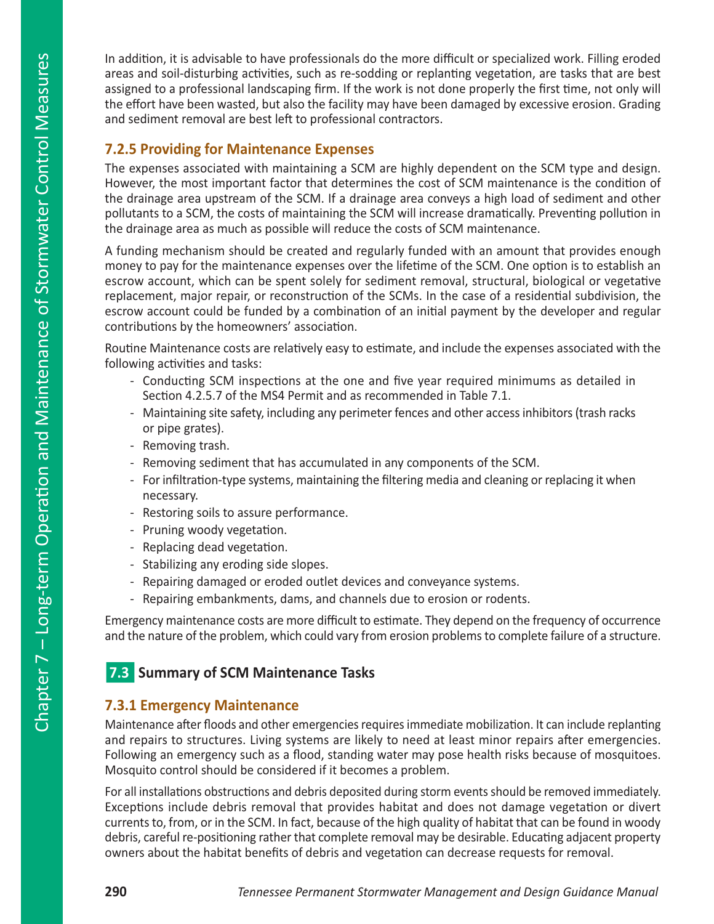In addition, it is advisable to have professionals do the more difficult or specialized work. Filling eroded areas and soil-disturbing activities, such as re-sodding or replanting vegetation, are tasks that are best assigned to a professional landscaping firm. If the work is not done properly the first time, not only will the effort have been wasted, but also the facility may have been damaged by excessive erosion. Grading and sediment removal are best left to professional contractors.

#### **7.2.5 Providing for Maintenance Expenses**

The expenses associated with maintaining a SCM are highly dependent on the SCM type and design. However, the most important factor that determines the cost of SCM maintenance is the condition of the drainage area upstream of the SCM. If a drainage area conveys a high load of sediment and other pollutants to a SCM, the costs of maintaining the SCM will increase dramatically. Preventing pollution in the drainage area as much as possible will reduce the costs of SCM maintenance.

A funding mechanism should be created and regularly funded with an amount that provides enough money to pay for the maintenance expenses over the lifetime of the SCM. One option is to establish an escrow account, which can be spent solely for sediment removal, structural, biological or vegetative replacement, major repair, or reconstruction of the SCMs. In the case of a residential subdivision, the escrow account could be funded by a combination of an initial payment by the developer and regular contributions by the homeowners' association.

Routine Maintenance costs are relatively easy to estimate, and include the expenses associated with the following activities and tasks:

- Conducting SCM inspections at the one and five year required minimums as detailed in Section 4.2.5.7 of the MS4 Permit and as recommended in Table 7.1.
- Maintaining site safety, including any perimeter fences and other access inhibitors (trash racks or pipe grates).
- Removing trash.
- Removing sediment that has accumulated in any components of the SCM.
- For infiltration-type systems, maintaining the filtering media and cleaning or replacing it when necessary.
- Restoring soils to assure performance.
- Pruning woody vegetation.
- Replacing dead vegetation.
- Stabilizing any eroding side slopes.
- Repairing damaged or eroded outlet devices and conveyance systems.
- Repairing embankments, dams, and channels due to erosion or rodents.

Emergency maintenance costs are more difficult to estimate. They depend on the frequency of occurrence and the nature of the problem, which could vary from erosion problems to complete failure of a structure.

## **7.3 Summary of SCM Maintenance Tasks**

#### **7.3.1 Emergency Maintenance**

Maintenance after floods and other emergencies requires immediate mobilization. It can include replanting and repairs to structures. Living systems are likely to need at least minor repairs after emergencies. Following an emergency such as a flood, standing water may pose health risks because of mosquitoes. Mosquito control should be considered if it becomes a problem.

For all installations obstructions and debris deposited during storm events should be removed immediately. Exceptions include debris removal that provides habitat and does not damage vegetation or divert currents to, from, or in the SCM. In fact, because of the high quality of habitat that can be found in woody debris, careful re-positioning rather that complete removal may be desirable. Educating adjacent property owners about the habitat benefits of debris and vegetation can decrease requests for removal.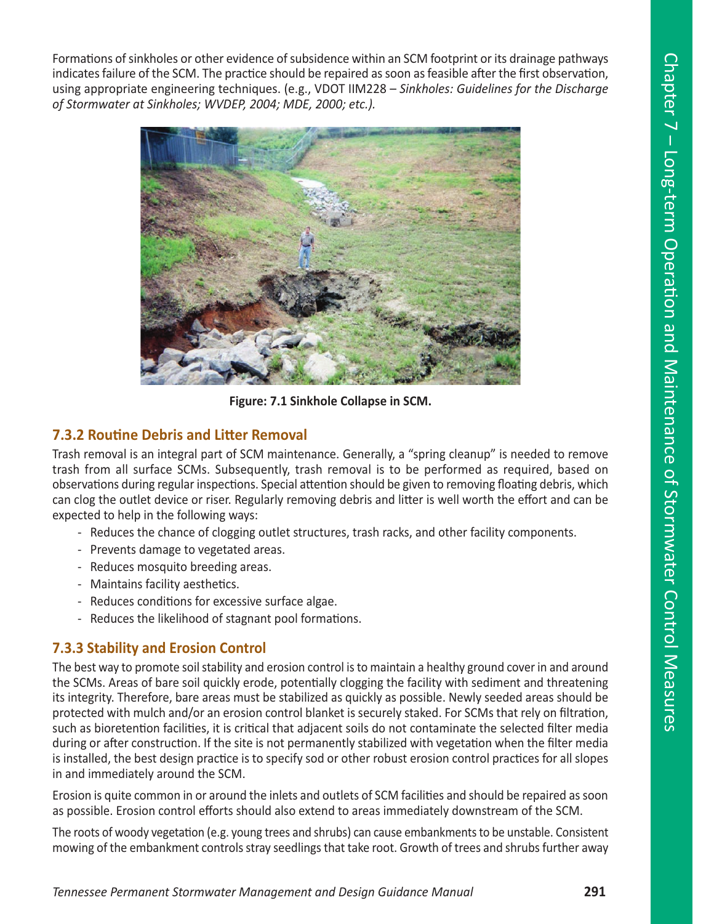Formations of sinkholes or other evidence of subsidence within an SCM footprint or its drainage pathways indicates failure of the SCM. The practice should be repaired as soon as feasible after the first observation, using appropriate engineering techniques. (e.g., VDOT IIM228 – *Sinkholes: Guidelines for the Discharge of Stormwater at Sinkholes; WVDEP, 2004; MDE, 2000; etc.).* 



**Figure: 7.1 Sinkhole Collapse in SCM.** 

#### **7.3.2 Routine Debris and Litter Removal**

Trash removal is an integral part of SCM maintenance. Generally, a "spring cleanup" is needed to remove trash from all surface SCMs. Subsequently, trash removal is to be performed as required, based on observations during regular inspections. Special attention should be given to removing floating debris, which can clog the outlet device or riser. Regularly removing debris and litter is well worth the effort and can be expected to help in the following ways:

- Reduces the chance of clogging outlet structures, trash racks, and other facility components.
- Prevents damage to vegetated areas.
- Reduces mosquito breeding areas.
- Maintains facility aesthetics.
- Reduces conditions for excessive surface algae.
- Reduces the likelihood of stagnant pool formations.

#### **7.3.3 Stability and Erosion Control**

The best way to promote soil stability and erosion control is to maintain a healthy ground cover in and around the SCMs. Areas of bare soil quickly erode, potentially clogging the facility with sediment and threatening its integrity. Therefore, bare areas must be stabilized as quickly as possible. Newly seeded areas should be protected with mulch and/or an erosion control blanket is securely staked. For SCMs that rely on filtration, such as bioretention facilities, it is critical that adjacent soils do not contaminate the selected filter media during or after construction. If the site is not permanently stabilized with vegetation when the filter media is installed, the best design practice is to specify sod or other robust erosion control practices for all slopes in and immediately around the SCM.

Erosion is quite common in or around the inlets and outlets of SCM facilities and should be repaired as soon as possible. Erosion control efforts should also extend to areas immediately downstream of the SCM.

The roots of woody vegetation (e.g. young trees and shrubs) can cause embankments to be unstable. Consistent mowing of the embankment controls stray seedlings that take root. Growth of trees and shrubs further away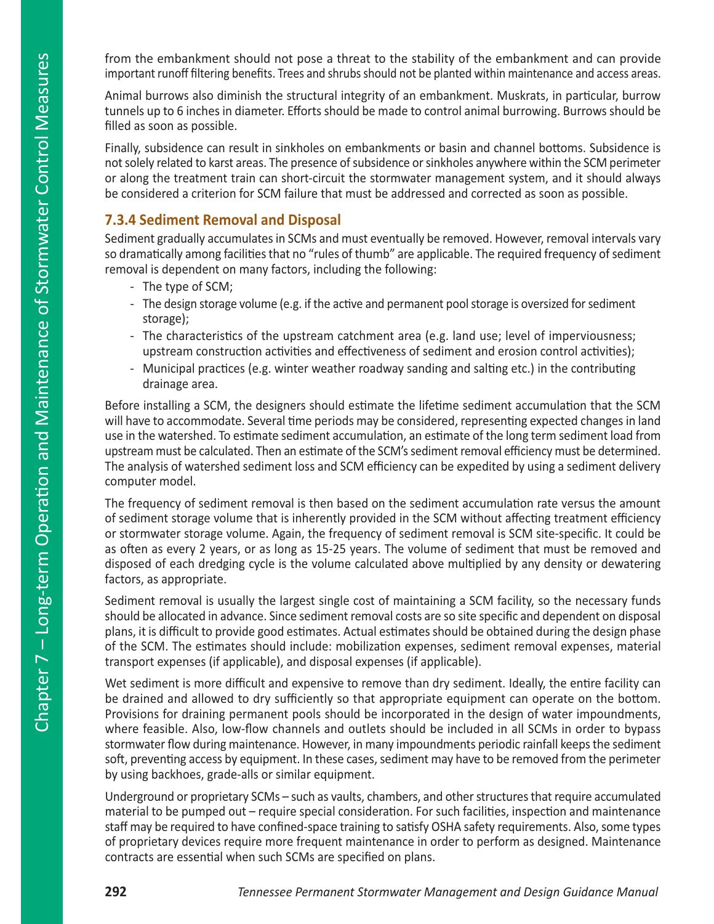from the embankment should not pose a threat to the stability of the embankment and can provide important runoff filtering benefits. Trees and shrubs should not be planted within maintenance and access areas.

Animal burrows also diminish the structural integrity of an embankment. Muskrats, in particular, burrow tunnels up to 6 inches in diameter. Efforts should be made to control animal burrowing. Burrows should be filled as soon as possible.

Finally, subsidence can result in sinkholes on embankments or basin and channel bottoms. Subsidence is not solely related to karst areas. The presence of subsidence or sinkholes anywhere within the SCM perimeter or along the treatment train can short-circuit the stormwater management system, and it should always be considered a criterion for SCM failure that must be addressed and corrected as soon as possible.

#### **7.3.4 Sediment Removal and Disposal**

Sediment gradually accumulates in SCMs and must eventually be removed. However, removal intervals vary so dramatically among facilities that no "rules of thumb" are applicable. The required frequency of sediment removal is dependent on many factors, including the following:

- The type of SCM;
- The design storage volume (e.g. if the active and permanent pool storage is oversized for sediment storage);
- The characteristics of the upstream catchment area (e.g. land use; level of imperviousness; upstream construction activities and effectiveness of sediment and erosion control activities);
- Municipal practices (e.g. winter weather roadway sanding and salting etc.) in the contributing drainage area.

Before installing a SCM, the designers should estimate the lifetime sediment accumulation that the SCM will have to accommodate. Several time periods may be considered, representing expected changes in land use in the watershed. To estimate sediment accumulation, an estimate of the long term sediment load from upstream must be calculated. Then an estimate of the SCM's sediment removal efficiency must be determined. The analysis of watershed sediment loss and SCM efficiency can be expedited by using a sediment delivery computer model.

The frequency of sediment removal is then based on the sediment accumulation rate versus the amount of sediment storage volume that is inherently provided in the SCM without affecting treatment efficiency or stormwater storage volume. Again, the frequency of sediment removal is SCM site-specific. It could be as often as every 2 years, or as long as 15-25 years. The volume of sediment that must be removed and disposed of each dredging cycle is the volume calculated above multiplied by any density or dewatering factors, as appropriate.

Sediment removal is usually the largest single cost of maintaining a SCM facility, so the necessary funds should be allocated in advance. Since sediment removal costs are so site specific and dependent on disposal plans, it is difficult to provide good estimates. Actual estimates should be obtained during the design phase of the SCM. The estimates should include: mobilization expenses, sediment removal expenses, material transport expenses (if applicable), and disposal expenses (if applicable).

Wet sediment is more difficult and expensive to remove than dry sediment. Ideally, the entire facility can be drained and allowed to dry sufficiently so that appropriate equipment can operate on the bottom. Provisions for draining permanent pools should be incorporated in the design of water impoundments, where feasible. Also, low-flow channels and outlets should be included in all SCMs in order to bypass stormwater flow during maintenance. However, in many impoundments periodic rainfall keeps the sediment soft, preventing access by equipment. In these cases, sediment may have to be removed from the perimeter by using backhoes, grade-alls or similar equipment.

Underground or proprietary SCMs – such as vaults, chambers, and other structures that require accumulated material to be pumped out – require special consideration. For such facilities, inspection and maintenance staff may be required to have confined-space training to satisfy OSHA safety requirements. Also, some types of proprietary devices require more frequent maintenance in order to perform as designed. Maintenance contracts are essential when such SCMs are specified on plans.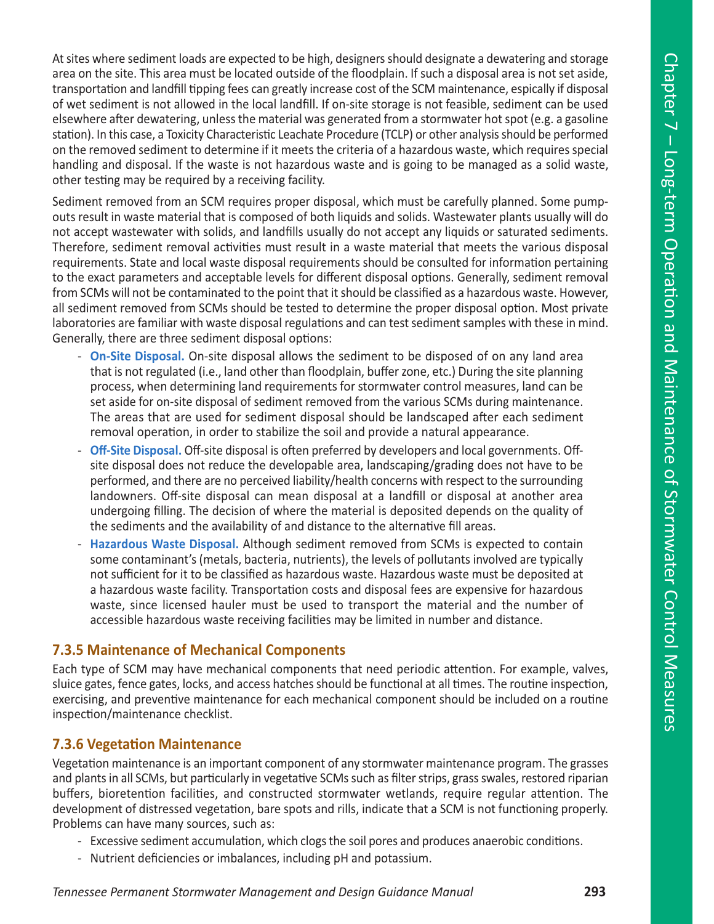At sites where sediment loads are expected to be high, designers should designate a dewatering and storage area on the site. This area must be located outside of the floodplain. If such a disposal area is not set aside, transportation and landfill tipping fees can greatly increase cost of the SCM maintenance, espically if disposal of wet sediment is not allowed in the local landfill. If on-site storage is not feasible, sediment can be used elsewhere after dewatering, unless the material was generated from a stormwater hot spot (e.g. a gasoline station). In this case, a Toxicity Characteristic Leachate Procedure (TCLP) or other analysis should be performed on the removed sediment to determine if it meets the criteria of a hazardous waste, which requires special handling and disposal. If the waste is not hazardous waste and is going to be managed as a solid waste, other testing may be required by a receiving facility.

Sediment removed from an SCM requires proper disposal, which must be carefully planned. Some pumpouts result in waste material that is composed of both liquids and solids. Wastewater plants usually will do not accept wastewater with solids, and landfills usually do not accept any liquids or saturated sediments. Therefore, sediment removal activities must result in a waste material that meets the various disposal requirements. State and local waste disposal requirements should be consulted for information pertaining to the exact parameters and acceptable levels for different disposal options. Generally, sediment removal from SCMs will not be contaminated to the point that it should be classified as a hazardous waste. However, all sediment removed from SCMs should be tested to determine the proper disposal option. Most private laboratories are familiar with waste disposal regulations and can test sediment samples with these in mind. Generally, there are three sediment disposal options:

- **On-Site Disposal.** On-site disposal allows the sediment to be disposed of on any land area that is not regulated (i.e., land other than floodplain, buffer zone, etc.) During the site planning process, when determining land requirements for stormwater control measures, land can be set aside for on-site disposal of sediment removed from the various SCMs during maintenance. The areas that are used for sediment disposal should be landscaped after each sediment removal operation, in order to stabilize the soil and provide a natural appearance.
- **Off-Site Disposal.** Off-site disposal is often preferred by developers and local governments. Offsite disposal does not reduce the developable area, landscaping/grading does not have to be performed, and there are no perceived liability/health concerns with respect to the surrounding landowners. Off-site disposal can mean disposal at a landfill or disposal at another area undergoing filling. The decision of where the material is deposited depends on the quality of the sediments and the availability of and distance to the alternative fill areas.
- **Hazardous Waste Disposal.** Although sediment removed from SCMs is expected to contain some contaminant's (metals, bacteria, nutrients), the levels of pollutants involved are typically not sufficient for it to be classified as hazardous waste. Hazardous waste must be deposited at a hazardous waste facility. Transportation costs and disposal fees are expensive for hazardous waste, since licensed hauler must be used to transport the material and the number of accessible hazardous waste receiving facilities may be limited in number and distance.

#### **7.3.5 Maintenance of Mechanical Components**

Each type of SCM may have mechanical components that need periodic attention. For example, valves, sluice gates, fence gates, locks, and access hatches should be functional at all times. The routine inspection, exercising, and preventive maintenance for each mechanical component should be included on a routine inspection/maintenance checklist.

#### **7.3.6 Vegetation Maintenance**

Vegetation maintenance is an important component of any stormwater maintenance program. The grasses and plants in all SCMs, but particularly in vegetative SCMs such as filter strips, grass swales, restored riparian buffers, bioretention facilities, and constructed stormwater wetlands, require regular attention. The development of distressed vegetation, bare spots and rills, indicate that a SCM is not functioning properly. Problems can have many sources, such as:

- Excessive sediment accumulation, which clogs the soil pores and produces anaerobic conditions.
- Nutrient deficiencies or imbalances, including pH and potassium.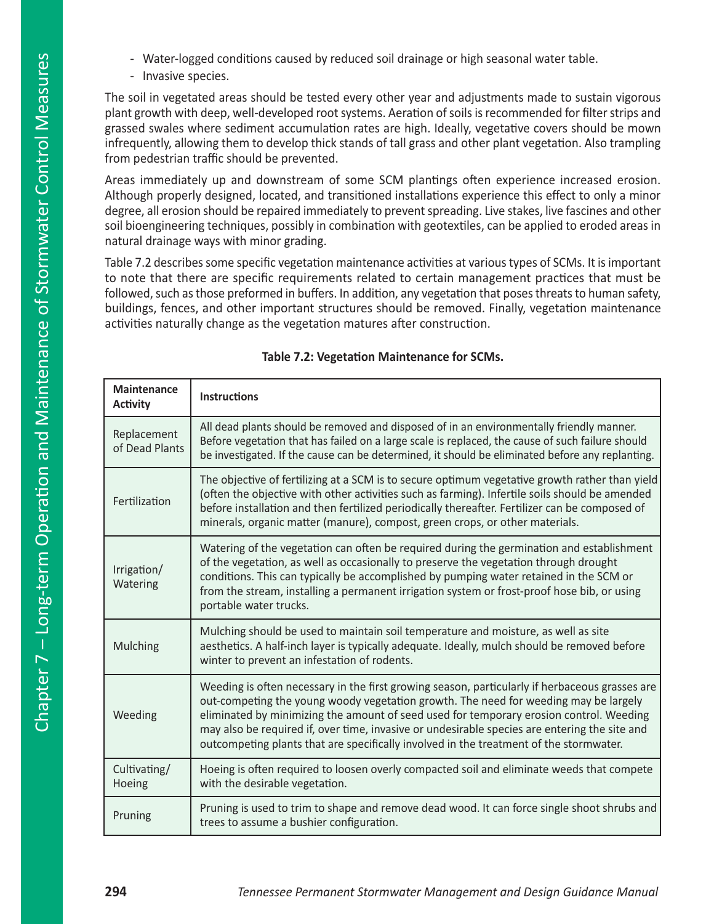- Water-logged conditions caused by reduced soil drainage or high seasonal water table.
- Invasive species.

The soil in vegetated areas should be tested every other year and adjustments made to sustain vigorous plant growth with deep, well-developed root systems. Aeration of soils is recommended for filter strips and grassed swales where sediment accumulation rates are high. Ideally, vegetative covers should be mown infrequently, allowing them to develop thick stands of tall grass and other plant vegetation. Also trampling from pedestrian traffic should be prevented.

Areas immediately up and downstream of some SCM plantings often experience increased erosion. Although properly designed, located, and transitioned installations experience this effect to only a minor degree, all erosion should be repaired immediately to prevent spreading. Live stakes, live fascines and other soil bioengineering techniques, possibly in combination with geotextiles, can be applied to eroded areas in natural drainage ways with minor grading.

Table 7.2 describes some specific vegetation maintenance activities at various types of SCMs. It is important to note that there are specific requirements related to certain management practices that must be followed, such as those preformed in buffers. In addition, any vegetation that poses threats to human safety, buildings, fences, and other important structures should be removed. Finally, vegetation maintenance activities naturally change as the vegetation matures after construction.

| <b>Maintenance</b><br><b>Activity</b> | <b>Instructions</b>                                                                                                                                                                                                                                                                                                                                                                                                                                                          |
|---------------------------------------|------------------------------------------------------------------------------------------------------------------------------------------------------------------------------------------------------------------------------------------------------------------------------------------------------------------------------------------------------------------------------------------------------------------------------------------------------------------------------|
| Replacement<br>of Dead Plants         | All dead plants should be removed and disposed of in an environmentally friendly manner.<br>Before vegetation that has failed on a large scale is replaced, the cause of such failure should<br>be investigated. If the cause can be determined, it should be eliminated before any replanting.                                                                                                                                                                              |
| Fertilization                         | The objective of fertilizing at a SCM is to secure optimum vegetative growth rather than yield<br>(often the objective with other activities such as farming). Infertile soils should be amended<br>before installation and then fertilized periodically thereafter. Fertilizer can be composed of<br>minerals, organic matter (manure), compost, green crops, or other materials.                                                                                           |
| Irrigation/<br>Watering               | Watering of the vegetation can often be required during the germination and establishment<br>of the vegetation, as well as occasionally to preserve the vegetation through drought<br>conditions. This can typically be accomplished by pumping water retained in the SCM or<br>from the stream, installing a permanent irrigation system or frost-proof hose bib, or using<br>portable water trucks.                                                                        |
| <b>Mulching</b>                       | Mulching should be used to maintain soil temperature and moisture, as well as site<br>aesthetics. A half-inch layer is typically adequate. Ideally, mulch should be removed before<br>winter to prevent an infestation of rodents.                                                                                                                                                                                                                                           |
| Weeding                               | Weeding is often necessary in the first growing season, particularly if herbaceous grasses are<br>out-competing the young woody vegetation growth. The need for weeding may be largely<br>eliminated by minimizing the amount of seed used for temporary erosion control. Weeding<br>may also be required if, over time, invasive or undesirable species are entering the site and<br>outcompeting plants that are specifically involved in the treatment of the stormwater. |
| Cultivating/<br>Hoeing                | Hoeing is often required to loosen overly compacted soil and eliminate weeds that compete<br>with the desirable vegetation.                                                                                                                                                                                                                                                                                                                                                  |
| Pruning                               | Pruning is used to trim to shape and remove dead wood. It can force single shoot shrubs and<br>trees to assume a bushier configuration.                                                                                                                                                                                                                                                                                                                                      |

#### **Table 7.2: Vegetation Maintenance for SCMs.**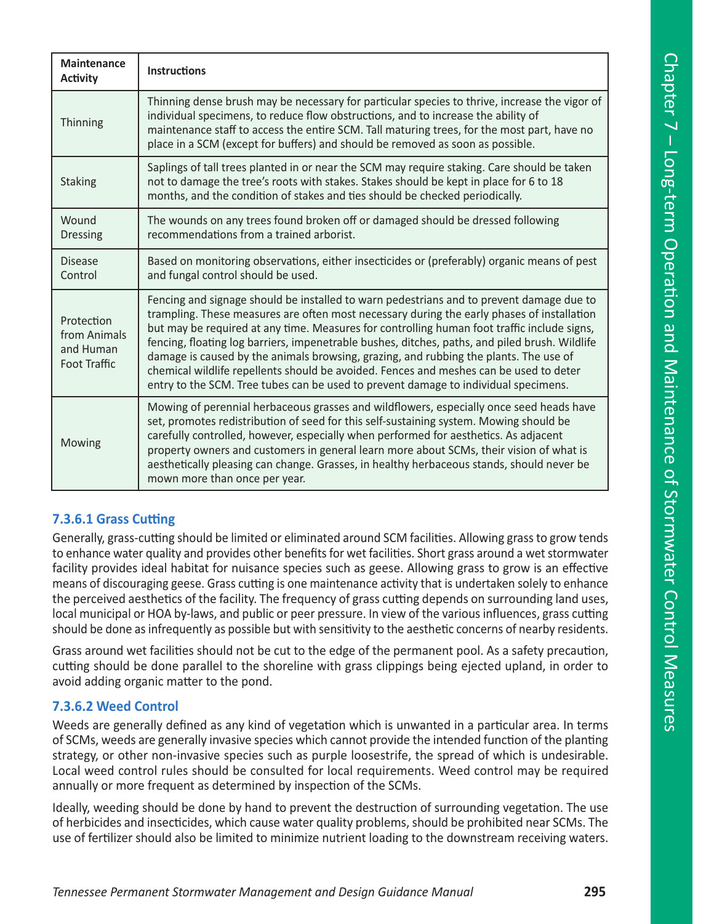| <b>Maintenance</b><br><b>Activity</b>                          | <b>Instructions</b>                                                                                                                                                                                                                                                                                                                                                                                                                                                                                                                                                                                                                                               |
|----------------------------------------------------------------|-------------------------------------------------------------------------------------------------------------------------------------------------------------------------------------------------------------------------------------------------------------------------------------------------------------------------------------------------------------------------------------------------------------------------------------------------------------------------------------------------------------------------------------------------------------------------------------------------------------------------------------------------------------------|
| Thinning                                                       | Thinning dense brush may be necessary for particular species to thrive, increase the vigor of<br>individual specimens, to reduce flow obstructions, and to increase the ability of<br>maintenance staff to access the entire SCM. Tall maturing trees, for the most part, have no<br>place in a SCM (except for buffers) and should be removed as soon as possible.                                                                                                                                                                                                                                                                                               |
| <b>Staking</b>                                                 | Saplings of tall trees planted in or near the SCM may require staking. Care should be taken<br>not to damage the tree's roots with stakes. Stakes should be kept in place for 6 to 18<br>months, and the condition of stakes and ties should be checked periodically.                                                                                                                                                                                                                                                                                                                                                                                             |
| Wound<br><b>Dressing</b>                                       | The wounds on any trees found broken off or damaged should be dressed following<br>recommendations from a trained arborist.                                                                                                                                                                                                                                                                                                                                                                                                                                                                                                                                       |
| <b>Disease</b><br>Control                                      | Based on monitoring observations, either insecticides or (preferably) organic means of pest<br>and fungal control should be used.                                                                                                                                                                                                                                                                                                                                                                                                                                                                                                                                 |
| Protection<br>from Animals<br>and Human<br><b>Foot Traffic</b> | Fencing and signage should be installed to warn pedestrians and to prevent damage due to<br>trampling. These measures are often most necessary during the early phases of installation<br>but may be required at any time. Measures for controlling human foot traffic include signs,<br>fencing, floating log barriers, impenetrable bushes, ditches, paths, and piled brush. Wildlife<br>damage is caused by the animals browsing, grazing, and rubbing the plants. The use of<br>chemical wildlife repellents should be avoided. Fences and meshes can be used to deter<br>entry to the SCM. Tree tubes can be used to prevent damage to individual specimens. |
| Mowing                                                         | Mowing of perennial herbaceous grasses and wildflowers, especially once seed heads have<br>set, promotes redistribution of seed for this self-sustaining system. Mowing should be<br>carefully controlled, however, especially when performed for aesthetics. As adjacent<br>property owners and customers in general learn more about SCMs, their vision of what is<br>aesthetically pleasing can change. Grasses, in healthy herbaceous stands, should never be<br>mown more than once per year.                                                                                                                                                                |

#### **7.3.6.1 Grass Cutting**

Generally, grass-cutting should be limited or eliminated around SCM facilities. Allowing grass to grow tends to enhance water quality and provides other benefits for wet facilities. Short grass around a wet stormwater facility provides ideal habitat for nuisance species such as geese. Allowing grass to grow is an effective means of discouraging geese. Grass cutting is one maintenance activity that is undertaken solely to enhance the perceived aesthetics of the facility. The frequency of grass cutting depends on surrounding land uses, local municipal or HOA by-laws, and public or peer pressure. In view of the various influences, grass cutting should be done as infrequently as possible but with sensitivity to the aesthetic concerns of nearby residents.

Grass around wet facilities should not be cut to the edge of the permanent pool. As a safety precaution, cutting should be done parallel to the shoreline with grass clippings being ejected upland, in order to avoid adding organic matter to the pond.

#### **7.3.6.2 Weed Control**

Weeds are generally defined as any kind of vegetation which is unwanted in a particular area. In terms of SCMs, weeds are generally invasive species which cannot provide the intended function of the planting strategy, or other non-invasive species such as purple loosestrife, the spread of which is undesirable. Local weed control rules should be consulted for local requirements. Weed control may be required annually or more frequent as determined by inspection of the SCMs.

Ideally, weeding should be done by hand to prevent the destruction of surrounding vegetation. The use of herbicides and insecticides, which cause water quality problems, should be prohibited near SCMs. The use of fertilizer should also be limited to minimize nutrient loading to the downstream receiving waters.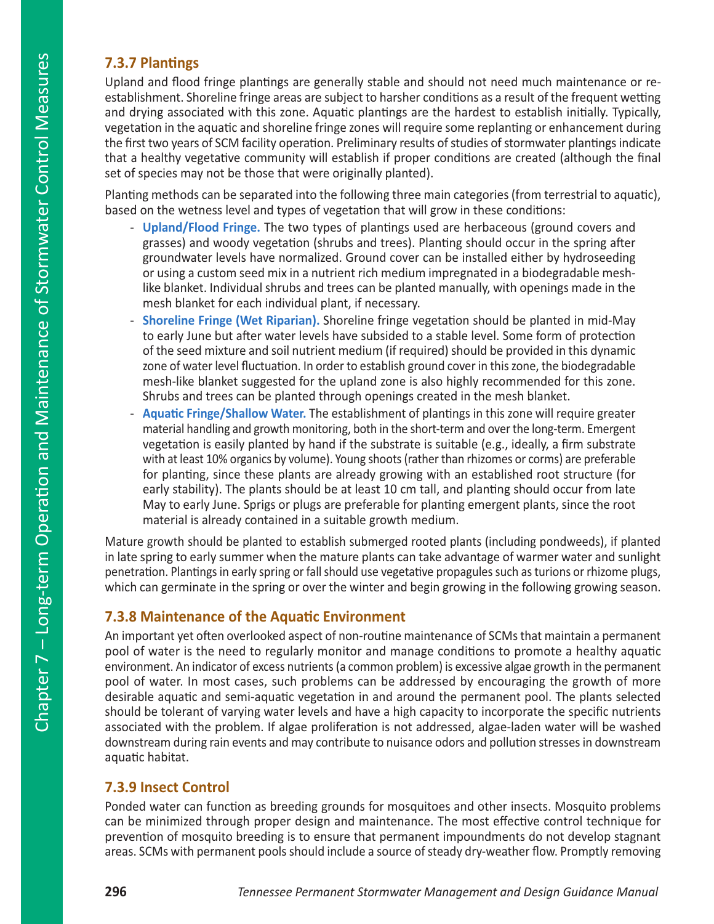### **7.3.7 Plantings**

Upland and flood fringe plantings are generally stable and should not need much maintenance or reestablishment. Shoreline fringe areas are subject to harsher conditions as a result of the frequent wetting and drying associated with this zone. Aquatic plantings are the hardest to establish initially. Typically, vegetation in the aquatic and shoreline fringe zones will require some replanting or enhancement during the first two years of SCM facility operation. Preliminary results of studies of stormwater plantings indicate that a healthy vegetative community will establish if proper conditions are created (although the final set of species may not be those that were originally planted).

Planting methods can be separated into the following three main categories (from terrestrial to aquatic), based on the wetness level and types of vegetation that will grow in these conditions:

- **Upland/Flood Fringe.** The two types of plantings used are herbaceous (ground covers and grasses) and woody vegetation (shrubs and trees). Planting should occur in the spring after groundwater levels have normalized. Ground cover can be installed either by hydroseeding or using a custom seed mix in a nutrient rich medium impregnated in a biodegradable meshlike blanket. Individual shrubs and trees can be planted manually, with openings made in the mesh blanket for each individual plant, if necessary.
- **Shoreline Fringe (Wet Riparian).** Shoreline fringe vegetation should be planted in mid-May to early June but after water levels have subsided to a stable level. Some form of protection of the seed mixture and soil nutrient medium (if required) should be provided in this dynamic zone of water level fluctuation. In order to establish ground cover in this zone, the biodegradable mesh-like blanket suggested for the upland zone is also highly recommended for this zone. Shrubs and trees can be planted through openings created in the mesh blanket.
- **Aquatic Fringe/Shallow Water.** The establishment of plantings in this zone will require greater material handling and growth monitoring, both in the short-term and over the long-term. Emergent vegetation is easily planted by hand if the substrate is suitable (e.g., ideally, a firm substrate with at least 10% organics by volume). Young shoots (rather than rhizomes or corms) are preferable for planting, since these plants are already growing with an established root structure (for early stability). The plants should be at least 10 cm tall, and planting should occur from late May to early June. Sprigs or plugs are preferable for planting emergent plants, since the root material is already contained in a suitable growth medium.

Mature growth should be planted to establish submerged rooted plants (including pondweeds), if planted in late spring to early summer when the mature plants can take advantage of warmer water and sunlight penetration. Plantings in early spring or fall should use vegetative propagules such as turions or rhizome plugs, which can germinate in the spring or over the winter and begin growing in the following growing season.

### **7.3.8 Maintenance of the Aquatic Environment**

An important yet often overlooked aspect of non-routine maintenance of SCMs that maintain a permanent pool of water is the need to regularly monitor and manage conditions to promote a healthy aquatic environment. An indicator of excess nutrients (a common problem) is excessive algae growth in the permanent pool of water. In most cases, such problems can be addressed by encouraging the growth of more desirable aquatic and semi-aquatic vegetation in and around the permanent pool. The plants selected should be tolerant of varying water levels and have a high capacity to incorporate the specific nutrients associated with the problem. If algae proliferation is not addressed, algae-laden water will be washed downstream during rain events and may contribute to nuisance odors and pollution stresses in downstream aquatic habitat.

### **7.3.9 Insect Control**

Ponded water can function as breeding grounds for mosquitoes and other insects. Mosquito problems can be minimized through proper design and maintenance. The most effective control technique for prevention of mosquito breeding is to ensure that permanent impoundments do not develop stagnant areas. SCMs with permanent pools should include a source of steady dry-weather flow. Promptly removing